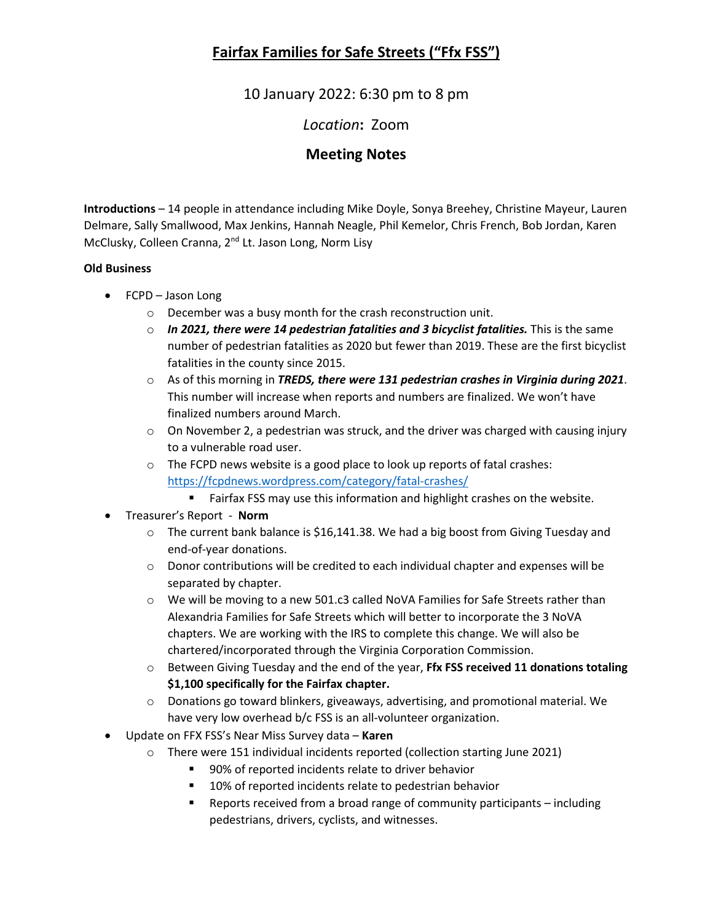## **Fairfax Families for Safe Streets ("Ffx FSS")**

10 January 2022: 6:30 pm to 8 pm

*Location***:** Zoom

### **Meeting Notes**

**Introductions** – 14 people in attendance including Mike Doyle, Sonya Breehey, Christine Mayeur, Lauren Delmare, Sally Smallwood, Max Jenkins, Hannah Neagle, Phil Kemelor, Chris French, Bob Jordan, Karen McClusky, Colleen Cranna, 2<sup>nd</sup> Lt. Jason Long, Norm Lisy

### **Old Business**

- FCPD Jason Long
	- o December was a busy month for the crash reconstruction unit.
	- o *In 2021, there were 14 pedestrian fatalities and 3 bicyclist fatalities.* This is the same number of pedestrian fatalities as 2020 but fewer than 2019. These are the first bicyclist fatalities in the county since 2015.
	- o As of this morning in *TREDS, there were 131 pedestrian crashes in Virginia during 2021*. This number will increase when reports and numbers are finalized. We won't have finalized numbers around March.
	- $\circ$  On November 2, a pedestrian was struck, and the driver was charged with causing injury to a vulnerable road user.
	- $\circ$  The FCPD news website is a good place to look up reports of fatal crashes: <https://fcpdnews.wordpress.com/category/fatal-crashes/>

**Fairfax FSS may use this information and highlight crashes on the website.** 

- Treasurer's Report **Norm**
	- $\circ$  The current bank balance is \$16,141.38. We had a big boost from Giving Tuesday and end-of-year donations.
	- o Donor contributions will be credited to each individual chapter and expenses will be separated by chapter.
	- $\circ$  We will be moving to a new 501.c3 called NoVA Families for Safe Streets rather than Alexandria Families for Safe Streets which will better to incorporate the 3 NoVA chapters. We are working with the IRS to complete this change. We will also be chartered/incorporated through the Virginia Corporation Commission.
	- o Between Giving Tuesday and the end of the year, **Ffx FSS received 11 donations totaling \$1,100 specifically for the Fairfax chapter.**
	- o Donations go toward blinkers, giveaways, advertising, and promotional material. We have very low overhead b/c FSS is an all-volunteer organization.
- Update on FFX FSS's Near Miss Survey data **Karen**
	- o There were 151 individual incidents reported (collection starting June 2021)
		- 90% of reported incidents relate to driver behavior
		- **10% of reported incidents relate to pedestrian behavior**
		- Reports received from a broad range of community participants including pedestrians, drivers, cyclists, and witnesses.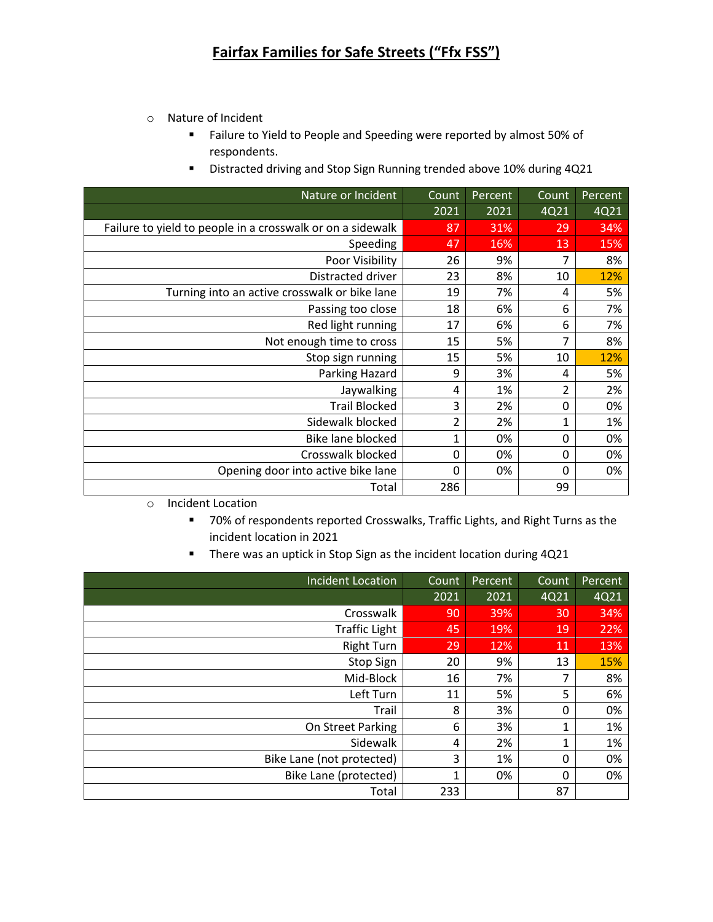- o Nature of Incident
	- Failure to Yield to People and Speeding were reported by almost 50% of respondents.
	- Distracted driving and Stop Sign Running trended above 10% during 4Q21

| Nature or Incident                                         | Count    | Percent | Count        | Percent <sup>'</sup> |
|------------------------------------------------------------|----------|---------|--------------|----------------------|
|                                                            | 2021     | 2021    | 4Q21         | 4Q21                 |
| Failure to yield to people in a crosswalk or on a sidewalk | 87       | 31%     | 29           | 34%                  |
| Speeding                                                   | 47       | 16%     | 13           | 15%                  |
| Poor Visibility                                            | 26       | 9%      | 7            | 8%                   |
| Distracted driver                                          | 23       | 8%      | 10           | 12%                  |
| Turning into an active crosswalk or bike lane              | 19       | 7%      | 4            | 5%                   |
| Passing too close                                          | 18       | 6%      | 6            | 7%                   |
| Red light running                                          | 17       | 6%      | 6            | 7%                   |
| Not enough time to cross                                   | 15       | 5%      | 7            | 8%                   |
| Stop sign running                                          | 15       | 5%      | 10           | 12%                  |
| Parking Hazard                                             | 9        | 3%      | 4            | 5%                   |
| Jaywalking                                                 | 4        | 1%      | 2            | 2%                   |
| <b>Trail Blocked</b>                                       | 3        | 2%      | $\mathbf{0}$ | 0%                   |
| Sidewalk blocked                                           | 2        | 2%      | 1            | 1%                   |
| Bike lane blocked                                          | 1        | 0%      | 0            | 0%                   |
| Crosswalk blocked                                          | 0        | 0%      | 0            | 0%                   |
| Opening door into active bike lane                         | $\Omega$ | 0%      | $\mathbf{0}$ | 0%                   |
| Total                                                      | 286      |         | 99           |                      |

o Incident Location

- 70% of respondents reported Crosswalks, Traffic Lights, and Right Turns as the incident location in 2021
- **There was an uptick in Stop Sign as the incident location during 4Q21**

| <b>Incident Location</b>  | Count | Percent | Count | Percent |
|---------------------------|-------|---------|-------|---------|
|                           | 2021  | 2021    | 4Q21  | 4Q21    |
| Crosswalk                 | 90    | 39%     | 30    | 34%     |
| <b>Traffic Light</b>      | 45    | 19%     | 19    | 22%     |
| <b>Right Turn</b>         | 29    | 12%     | 11    | 13%     |
| Stop Sign                 | 20    | 9%      | 13    | 15%     |
| Mid-Block                 | 16    | 7%      | 7     | 8%      |
| Left Turn                 | 11    | 5%      | 5     | 6%      |
| Trail                     | 8     | 3%      | 0     | 0%      |
| On Street Parking         | 6     | 3%      | 1     | 1%      |
| Sidewalk                  | 4     | 2%      | 1     | 1%      |
| Bike Lane (not protected) | 3     | 1%      | 0     | 0%      |
| Bike Lane (protected)     | 1     | 0%      | 0     | 0%      |
| Total                     | 233   |         | 87    |         |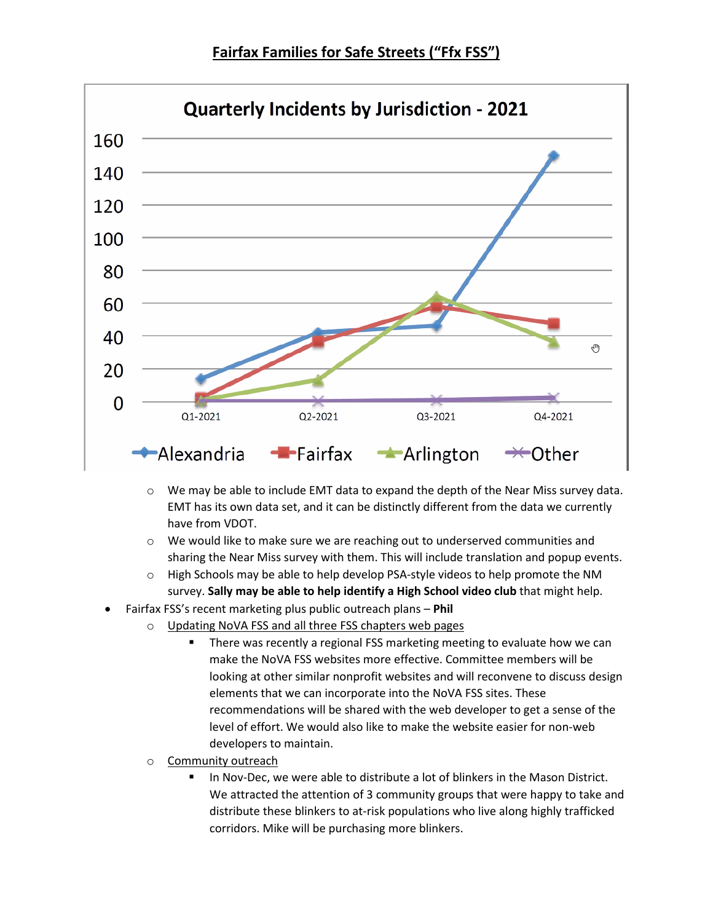**Fairfax Families for Safe Streets ("Ffx FSS")**



- $\circ$  We may be able to include EMT data to expand the depth of the Near Miss survey data. EMT has its own data set, and it can be distinctly different from the data we currently have from VDOT.
- o We would like to make sure we are reaching out to underserved communities and sharing the Near Miss survey with them. This will include translation and popup events.
- o High Schools may be able to help develop PSA-style videos to help promote the NM survey. **Sally may be able to help identify a High School video club** that might help.
- Fairfax FSS's recent marketing plus public outreach plans **Phil**
	- Updating NoVA FSS and all three FSS chapters web pages
		- There was recently a regional FSS marketing meeting to evaluate how we can make the NoVA FSS websites more effective. Committee members will be looking at other similar nonprofit websites and will reconvene to discuss design elements that we can incorporate into the NoVA FSS sites. These recommendations will be shared with the web developer to get a sense of the level of effort. We would also like to make the website easier for non-web developers to maintain.
	- Community outreach
		- In Nov-Dec, we were able to distribute a lot of blinkers in the Mason District. We attracted the attention of 3 community groups that were happy to take and distribute these blinkers to at-risk populations who live along highly trafficked corridors. Mike will be purchasing more blinkers.